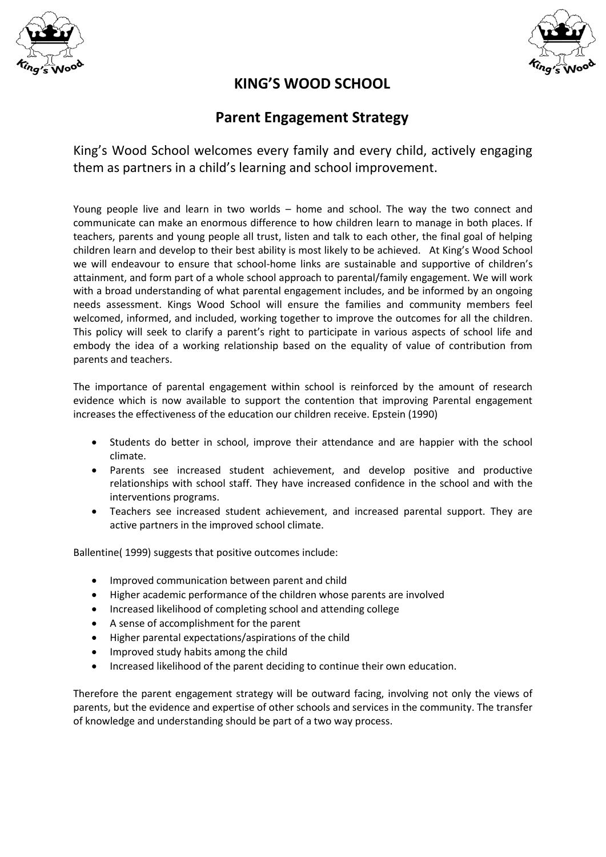



## **KING'S WOOD SCHOOL**

# **Parent Engagement Strategy**

King's Wood School welcomes every family and every child, actively engaging them as partners in a child's learning and school improvement.

Young people live and learn in two worlds – home and school. The way the two connect and communicate can make an enormous difference to how children learn to manage in both places. If teachers, parents and young people all trust, listen and talk to each other, the final goal of helping children learn and develop to their best ability is most likely to be achieved. At King's Wood School we will endeavour to ensure that school-home links are sustainable and supportive of children's attainment, and form part of a whole school approach to parental/family engagement. We will work with a broad understanding of what parental engagement includes, and be informed by an ongoing needs assessment. Kings Wood School will ensure the families and community members feel welcomed, informed, and included, working together to improve the outcomes for all the children. This policy will seek to clarify a parent's right to participate in various aspects of school life and embody the idea of a working relationship based on the equality of value of contribution from parents and teachers.

The importance of parental engagement within school is reinforced by the amount of research evidence which is now available to support the contention that improving Parental engagement increases the effectiveness of the education our children receive. Epstein (1990)

- Students do better in school, improve their attendance and are happier with the school climate.
- Parents see increased student achievement, and develop positive and productive relationships with school staff. They have increased confidence in the school and with the interventions programs.
- Teachers see increased student achievement, and increased parental support. They are active partners in the improved school climate.

Ballentine( 1999) suggests that positive outcomes include:

- Improved communication between parent and child
- Higher academic performance of the children whose parents are involved
- Increased likelihood of completing school and attending college
- A sense of accomplishment for the parent
- Higher parental expectations/aspirations of the child
- Improved study habits among the child
- Increased likelihood of the parent deciding to continue their own education.

Therefore the parent engagement strategy will be outward facing, involving not only the views of parents, but the evidence and expertise of other schools and services in the community. The transfer of knowledge and understanding should be part of a two way process.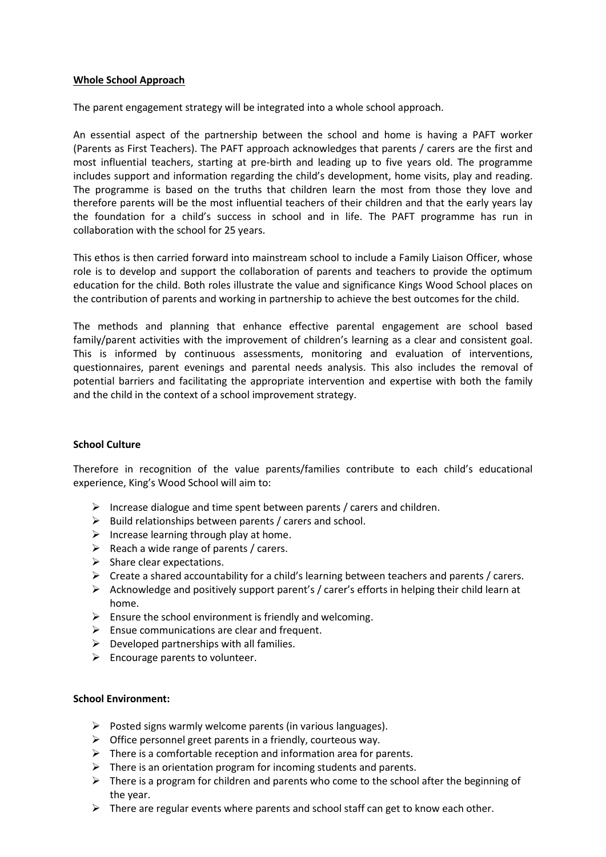#### **Whole School Approach**

The parent engagement strategy will be integrated into a whole school approach.

An essential aspect of the partnership between the school and home is having a PAFT worker (Parents as First Teachers). The PAFT approach acknowledges that parents / carers are the first and most influential teachers, starting at pre-birth and leading up to five years old. The programme includes support and information regarding the child's development, home visits, play and reading. The programme is based on the truths that children learn the most from those they love and therefore parents will be the most influential teachers of their children and that the early years lay the foundation for a child's success in school and in life. The PAFT programme has run in collaboration with the school for 25 years.

This ethos is then carried forward into mainstream school to include a Family Liaison Officer, whose role is to develop and support the collaboration of parents and teachers to provide the optimum education for the child. Both roles illustrate the value and significance Kings Wood School places on the contribution of parents and working in partnership to achieve the best outcomes for the child.

The methods and planning that enhance effective parental engagement are school based family/parent activities with the improvement of children's learning as a clear and consistent goal. This is informed by continuous assessments, monitoring and evaluation of interventions, questionnaires, parent evenings and parental needs analysis. This also includes the removal of potential barriers and facilitating the appropriate intervention and expertise with both the family and the child in the context of a school improvement strategy.

#### **School Culture**

Therefore in recognition of the value parents/families contribute to each child's educational experience, King's Wood School will aim to:

- $\triangleright$  Increase dialogue and time spent between parents / carers and children.
- $\triangleright$  Build relationships between parents / carers and school.
- $\triangleright$  Increase learning through play at home.
- $\triangleright$  Reach a wide range of parents / carers.
- $\triangleright$  Share clear expectations.
- $\triangleright$  Create a shared accountability for a child's learning between teachers and parents / carers.
- $\triangleright$  Acknowledge and positively support parent's / carer's efforts in helping their child learn at home.
- $\triangleright$  Ensure the school environment is friendly and welcoming.
- $\triangleright$  Ensue communications are clear and frequent.
- $\triangleright$  Developed partnerships with all families.
- $\triangleright$  Encourage parents to volunteer.

#### **School Environment:**

- $\triangleright$  Posted signs warmly welcome parents (in various languages).
- $\triangleright$  Office personnel greet parents in a friendly, courteous way.
- $\triangleright$  There is a comfortable reception and information area for parents.
- $\triangleright$  There is an orientation program for incoming students and parents.
- $\triangleright$  There is a program for children and parents who come to the school after the beginning of the year.
- $\triangleright$  There are regular events where parents and school staff can get to know each other.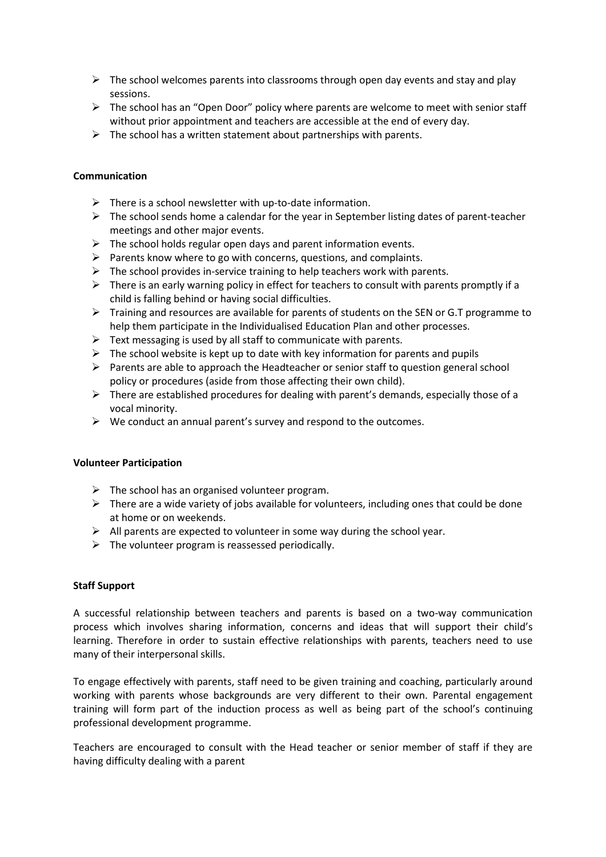- $\triangleright$  The school welcomes parents into classrooms through open day events and stay and play sessions.
- $\triangleright$  The school has an "Open Door" policy where parents are welcome to meet with senior staff without prior appointment and teachers are accessible at the end of every day.
- $\triangleright$  The school has a written statement about partnerships with parents.

#### **Communication**

- $\triangleright$  There is a school newsletter with up-to-date information.
- $\triangleright$  The school sends home a calendar for the year in September listing dates of parent-teacher meetings and other major events.
- $\triangleright$  The school holds regular open days and parent information events.
- $\triangleright$  Parents know where to go with concerns, questions, and complaints.
- $\triangleright$  The school provides in-service training to help teachers work with parents.
- $\triangleright$  There is an early warning policy in effect for teachers to consult with parents promptly if a child is falling behind or having social difficulties.
- $\triangleright$  Training and resources are available for parents of students on the SEN or G.T programme to help them participate in the Individualised Education Plan and other processes.
- $\triangleright$  Text messaging is used by all staff to communicate with parents.
- $\triangleright$  The school website is kept up to date with key information for parents and pupils
- $\triangleright$  Parents are able to approach the Headteacher or senior staff to question general school policy or procedures (aside from those affecting their own child).
- $\triangleright$  There are established procedures for dealing with parent's demands, especially those of a vocal minority.
- $\triangleright$  We conduct an annual parent's survey and respond to the outcomes.

#### **Volunteer Participation**

- $\triangleright$  The school has an organised volunteer program.
- $\triangleright$  There are a wide variety of jobs available for volunteers, including ones that could be done at home or on weekends.
- $\triangleright$  All parents are expected to volunteer in some way during the school year.
- $\triangleright$  The volunteer program is reassessed periodically.

#### **Staff Support**

A successful relationship between teachers and parents is based on a two-way communication process which involves sharing information, concerns and ideas that will support their child's learning. Therefore in order to sustain effective relationships with parents, teachers need to use many of their interpersonal skills.

To engage effectively with parents, staff need to be given training and coaching, particularly around working with parents whose backgrounds are very different to their own. Parental engagement training will form part of the induction process as well as being part of the school's continuing professional development programme.

Teachers are encouraged to consult with the Head teacher or senior member of staff if they are having difficulty dealing with a parent